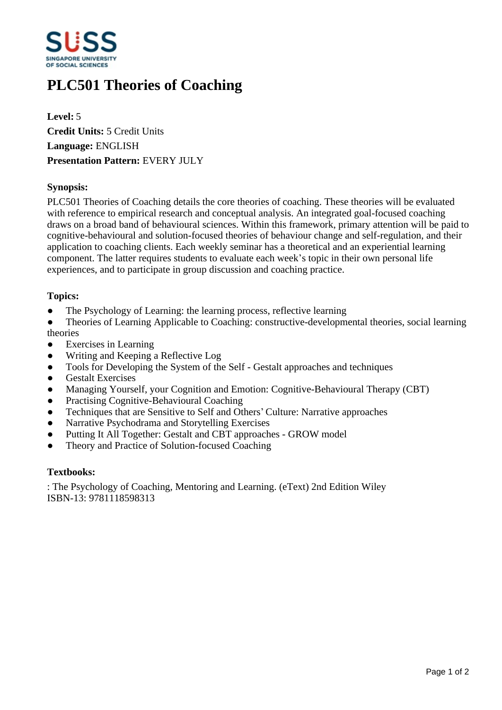

# **PLC501 Theories of Coaching**

**Level:** 5 **Credit Units:** 5 Credit Units **Language:** ENGLISH **Presentation Pattern:** EVERY JULY

### **Synopsis:**

PLC501 Theories of Coaching details the core theories of coaching. These theories will be evaluated with reference to empirical research and conceptual analysis. An integrated goal-focused coaching draws on a broad band of behavioural sciences. Within this framework, primary attention will be paid to cognitive-behavioural and solution-focused theories of behaviour change and self-regulation, and their application to coaching clients. Each weekly seminar has a theoretical and an experiential learning component. The latter requires students to evaluate each week's topic in their own personal life experiences, and to participate in group discussion and coaching practice.

#### **Topics:**

• The Psychology of Learning: the learning process, reflective learning

ƔTheories of Learning Applicable to Coaching: constructive-developmental theories, social learning theories

- ƔExercises in Learning
- Writing and Keeping a Reflective Log
- Tools for Developing the System of the Self Gestalt approaches and techniques
- Gestalt Exercises
- Managing Yourself, your Cognition and Emotion: Cognitive-Behavioural Therapy (CBT)
- Practising Cognitive-Behavioural Coaching
- Techniques that are Sensitive to Self and Others' Culture: Narrative approaches
- Narrative Psychodrama and Storytelling Exercises
- Putting It All Together: Gestalt and CBT approaches GROW model
- Theory and Practice of Solution-focused Coaching

#### **Textbooks:**

: The Psychology of Coaching, Mentoring and Learning. (eText) 2nd Edition Wiley ISBN-13: 9781118598313